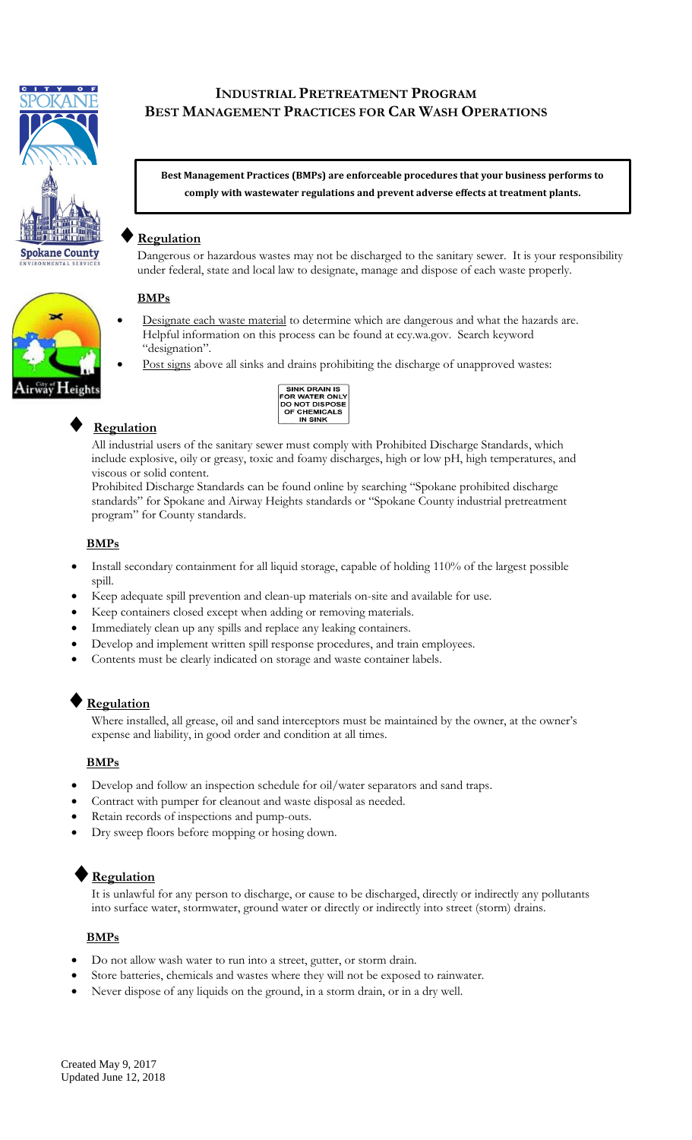

# **INDUSTRIAL PRETREATMENT PROGRAM BEST MANAGEMENT PRACTICES FOR CAR WASH OPERATIONS**

**Best Management Practices (BMPs) are enforceable procedures that your business performs to comply with wastewater regulations and prevent adverse effects at treatment plants.**

## **Regulation**

Dangerous or hazardous wastes may not be discharged to the sanitary sewer. It is your responsibility under federal, state and local law to designate, manage and dispose of each waste properly.

### **BMPs**

- Designate each waste material to determine which are dangerous and what the hazards are. Helpful information on this process can be found at ecy.wa.gov. Search keyword "designation".
- Post signs above all sinks and drains prohibiting the discharge of unapproved wastes:

| <b>SINK DRAIN IS</b>  |
|-----------------------|
| <b>FOR WATER ONLY</b> |
| <b>DO NOT DISPOSE</b> |
| <b>OF CHEMICALS</b>   |
| IN SINK               |

# **Regulation**

All industrial users of the sanitary sewer must comply with Prohibited Discharge Standards, which include explosive, oily or greasy, toxic and foamy discharges, high or low pH, high temperatures, and viscous or solid content.

Prohibited Discharge Standards can be found online by searching "Spokane prohibited discharge standards" for Spokane and Airway Heights standards or "Spokane County industrial pretreatment program" for County standards.

### **BMPs**

- Install secondary containment for all liquid storage, capable of holding 110% of the largest possible spill.
- Keep adequate spill prevention and clean-up materials on-site and available for use.
- Keep containers closed except when adding or removing materials.
- Immediately clean up any spills and replace any leaking containers.
- Develop and implement written spill response procedures, and train employees.
- Contents must be clearly indicated on storage and waste container labels.

# **Regulation**

Where installed, all grease, oil and sand interceptors must be maintained by the owner, at the owner's expense and liability, in good order and condition at all times.

#### **BMPs**

- Develop and follow an inspection schedule for oil/water separators and sand traps.
- Contract with pumper for cleanout and waste disposal as needed.
- Retain records of inspections and pump-outs.
- Dry sweep floors before mopping or hosing down.

# **Regulation**

It is unlawful for any person to discharge, or cause to be discharged, directly or indirectly any pollutants into surface water, stormwater, ground water or directly or indirectly into street (storm) drains.

#### **BMPs**

- Do not allow wash water to run into a street, gutter, or storm drain.
- Store batteries, chemicals and wastes where they will not be exposed to rainwater.
- Never dispose of any liquids on the ground, in a storm drain, or in a dry well.